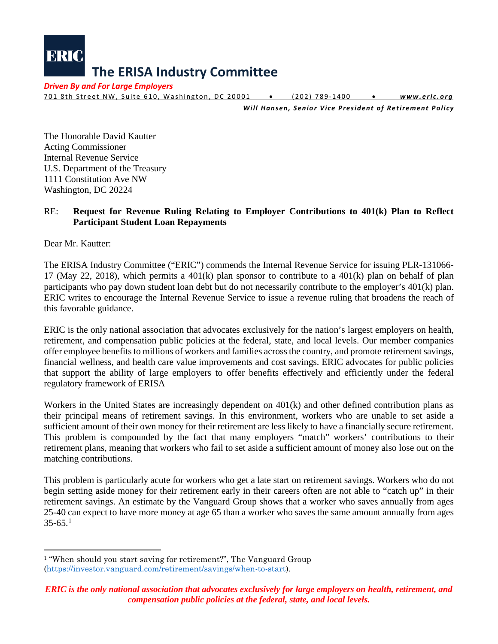

## **The ERISA Industry Committee**

*Driven By and For Large Employers*

701 8th Street NW, Suite 610, Washington, DC 20001 • (202) 789 -1400 • *www.eric.org*

*Will Hansen, Senior Vice President of Retirement Policy*

The Honorable David Kautter Acting Commissioner Internal Revenue Service U.S. Department of the Treasury 1111 Constitution Ave NW Washington, DC 20224

## RE: **Request for Revenue Ruling Relating to Employer Contributions to 401(k) Plan to Reflect Participant Student Loan Repayments**

Dear Mr. Kautter:

The ERISA Industry Committee ("ERIC") commends the Internal Revenue Service for issuing PLR-131066- 17 (May 22, 2018), which permits a 401(k) plan sponsor to contribute to a 401(k) plan on behalf of plan participants who pay down student loan debt but do not necessarily contribute to the employer's 401(k) plan. ERIC writes to encourage the Internal Revenue Service to issue a revenue ruling that broadens the reach of this favorable guidance.

ERIC is the only national association that advocates exclusively for the nation's largest employers on health, retirement, and compensation public policies at the federal, state, and local levels. Our member companies offer employee benefits to millions of workers and families across the country, and promote retirement savings, financial wellness, and health care value improvements and cost savings. ERIC advocates for public policies that support the ability of large employers to offer benefits effectively and efficiently under the federal regulatory framework of ERISA

Workers in the United States are increasingly dependent on 401(k) and other defined contribution plans as their principal means of retirement savings. In this environment, workers who are unable to set aside a sufficient amount of their own money for their retirement are less likely to have a financially secure retirement. This problem is compounded by the fact that many employers "match" workers' contributions to their retirement plans, meaning that workers who fail to set aside a sufficient amount of money also lose out on the matching contributions.

This problem is particularly acute for workers who get a late start on retirement savings. Workers who do not begin setting aside money for their retirement early in their careers often are not able to "catch up" in their retirement savings. An estimate by the Vanguard Group shows that a worker who saves annually from ages 25-40 can expect to have more money at age 65 than a worker who saves the same amount annually from ages  $35-65$ <sup>[1](#page-0-0)</sup>

<span id="page-0-0"></span> $\overline{a}$ <sup>1</sup> "When should you start saving for retirement?", The Vanguard Group [\(https://investor.vanguard.com/retirement/savings/when-to-start\)](https://investor.vanguard.com/retirement/savings/when-to-start).